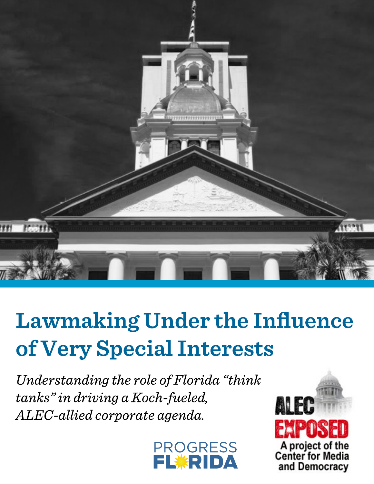

# Lawmaking Under the Influence **ofVerySpecialInterests**

*Understanding the role of Florida "think tanks"indrivingaKoch-fueled, ALEC-alliedcorporateagenda.*



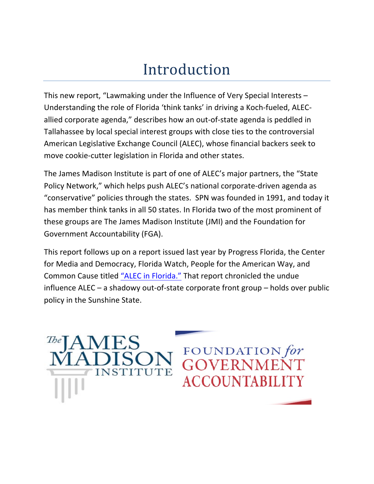# Introduction

This new report, "Lawmaking under the Influence of Very Special Interests  $-$ Understanding the role of Florida 'think tanks' in driving a Koch-fueled, ALECallied corporate agenda," describes how an out-of-state agenda is peddled in Tallahassee by local special interest groups with close ties to the controversial American Legislative Exchange Council (ALEC), whose financial backers seek to move cookie-cutter legislation in Florida and other states.

The James Madison Institute is part of one of ALEC's major partners, the "State Policy Network," which helps push ALEC's national corporate-driven agenda as "conservative" policies through the states. SPN was founded in 1991, and today it has member think tanks in all 50 states. In Florida two of the most prominent of these groups are The James Madison Institute (JMI) and the Foundation for Government Accountability (FGA).

This report follows up on a report issued last year by Progress Florida, the Center for Media and Democracy, Florida Watch, People for the American Way, and Common Cause titled "ALEC in Florida." That report chronicled the undue influence ALEC – a shadowy out-of-state corporate front group – holds over public policy in the Sunshine State.

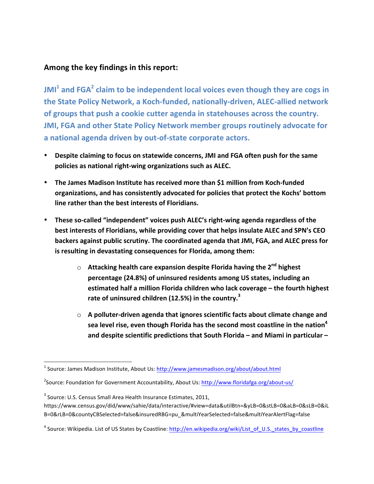### Among the key findings in this report:

**JMI<sup>1</sup> and FGA<sup>2</sup> claim to be independent local voices even though they are cogs in** the State Policy Network, a Koch-funded, nationally-driven, ALEC-allied network of groups that push a cookie cutter agenda in statehouses across the country. **JMI, FGA and other State Policy Network member groups routinely advocate for** a national agenda driven by out-of-state corporate actors.

- **Despite claiming to focus on statewide concerns, JMI and FGA often push for the same policies as national right-wing organizations such as ALEC.**
- The James Madison Institute has received more than \$1 million from Koch-funded organizations, and has consistently advocated for policies that protect the Kochs' bottom **line rather than the best interests of Floridians.**
- These so-called "independent" voices push ALEC's right-wing agenda regardless of the **best interests of Floridians, while providing cover that helps insulate ALEC and SPN's CEO** backers against public scrutiny. The coordinated agenda that JMI, FGA, and ALEC press for **is** resulting in devastating consequences for Florida, among them:
	- o **Attacking health care expansion despite Florida having the 2<sup>nd</sup> highest** percentage (24.8%) of uninsured residents among US states, including an **estimated half a million Florida children who lack coverage – the fourth highest** rate of uninsured children (12.5%) in the country.<sup>3</sup>
	- $\circ$  A polluter-driven agenda that ignores scientific facts about climate change and sea level rise, even though Florida has the second most coastline in the nation<sup>4</sup> **and despite scientific predictions that South Florida – and Miami in particular –**

<u> 1989 - Johann Stein, markin film yn y breninn y breninn y breninn y breninn y breninn y breninn y breninn y b</u>

<sup>&</sup>lt;sup>1</sup> Source: James Madison Institute, About Us: http://www.jamesmadison.org/about/about.html

<sup>&</sup>lt;sup>2</sup>Source: Foundation for Government Accountability, About Us: http://www.floridafga.org/about-us/

 $3$  Source: U.S. Census Small Area Health Insurance Estimates, 2011,

https://www.census.gov/did/www/sahie/data/interactive/#view=data&utilBtn=&yLB=0&stLB=0&aLB=0&sLB=0&iL B=0&rLB=0&countyCBSelected=false&insuredRBG=pu\_&multiYearSelected=false&multiYearAlertFlag=false

<sup>&</sup>lt;sup>4</sup> Source: Wikipedia. List of US States by Coastline: http://en.wikipedia.org/wiki/List\_of\_U.S.\_states\_by\_coastline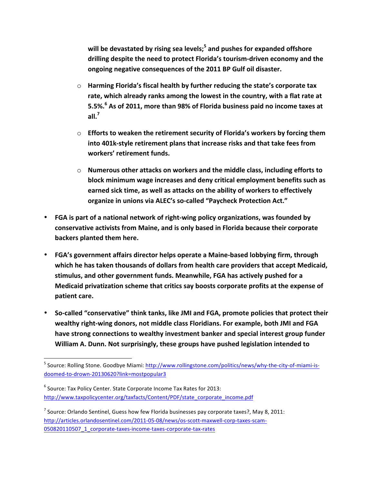will be devastated by rising sea levels;<sup>5</sup> and pushes for expanded offshore drilling despite the need to protect Florida's tourism-driven economy and the ongoing negative consequences of the 2011 BP Gulf oil disaster.

- $\circ$  **Harming Florida's fiscal health by further reducing the state's corporate tax** rate, which already ranks among the lowest in the country, with a flat rate at **5.5%.<sup>6</sup> As of 2011, more than 98% of Florida business paid no income taxes at all. 7**
- $\circ$  **Efforts to weaken the retirement security of Florida's workers by forcing them** into 401k-style retirement plans that increase risks and that take fees from **workers' retirement funds.**
- $\circ$  **Numerous other attacks on workers and the middle class, including efforts to** block minimum wage increases and deny critical employment benefits such as earned sick time, as well as attacks on the ability of workers to effectively organize in unions via ALEC's so-called "Paycheck Protection Act."
- FGA is part of a national network of right-wing policy organizations, was founded by conservative activists from Maine, and is only based in Florida because their corporate **backers planted them here.**
- FGA's government affairs director helps operate a Maine-based lobbying firm, through which he has taken thousands of dollars from health care providers that accept Medicaid, stimulus, and other government funds. Meanwhile, FGA has actively pushed for a **Medicaid privatization scheme that critics say boosts corporate profits at the expense of patient care.**
- **So-called "conservative" think tanks, like JMI and FGA, promote policies that protect their**  wealthy right-wing donors, not middle class Floridians. For example, both JMI and FGA have strong connections to wealthy investment banker and special interest group funder William A. Dunn. Not surprisingly, these groups have pushed legislation intended to

<u> 1989 - Johann Stein, markin film yn y breninn y breninn y breninn y breninn y breninn y breninn y breninn y b</u>

<sup>&</sup>lt;sup>5</sup> Source: Rolling Stone. Goodbye Miami: http://www.rollingstone.com/politics/news/why-the-city-of-miami-isdoomed-to-drown-20130620?link=mostpopular3

 $6$  Source: Tax Policy Center. State Corporate Income Tax Rates for 2013: http://www.taxpolicycenter.org/taxfacts/Content/PDF/state\_corporate\_income.pdf

 $^7$  Source: Orlando Sentinel, Guess how few Florida businesses pay corporate taxes?, May 8, 2011: http://articles.orlandosentinel.com/2011-05-08/news/os-scott-maxwell-corp-taxes-scam-050820110507\_1\_corporate-taxes-income-taxes-corporate-tax-rates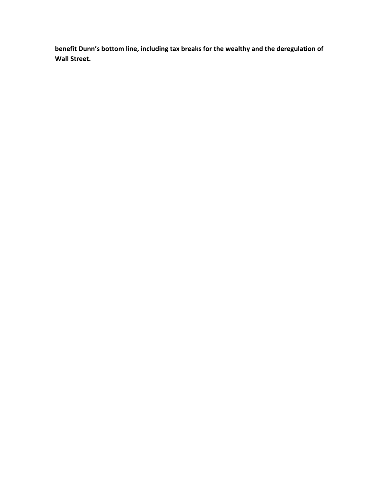benefit Dunn's bottom line, including tax breaks for the wealthy and the deregulation of **Wall Street.**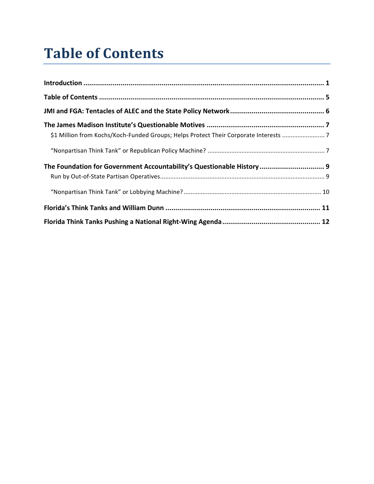### **Table of Contents**

| \$1 Million from Kochs/Koch-Funded Groups; Helps Protect Their Corporate Interests  7 |  |
|---------------------------------------------------------------------------------------|--|
|                                                                                       |  |
| The Foundation for Government Accountability's Questionable History 9                 |  |
|                                                                                       |  |
|                                                                                       |  |
|                                                                                       |  |
|                                                                                       |  |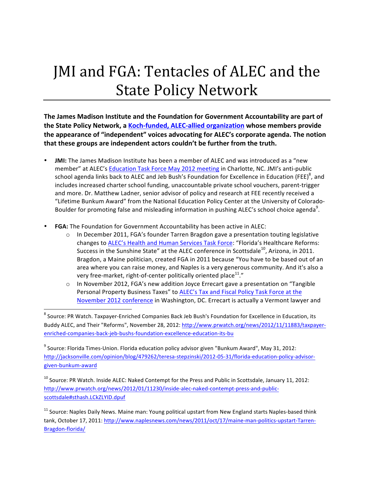# JMI and FGA: Tentacles of ALEC and the **State Policy Network**

The James Madison Institute and the Foundation for Government Accountability are part of **the State Policy Network, a Koch-funded, ALEC-allied organization whose members provide** the appearance of "independent" voices advocating for ALEC's corporate agenda. The notion that these groups are independent actors couldn't be further from the truth.

- **JMI:** The James Madison Institute has been a member of ALEC and was introduced as a "new member" at ALEC's Education Task Force May 2012 meeting in Charlotte, NC. JMI's anti-public school agenda links back to ALEC and Jeb Bush's Foundation for Excellence in Education (FEE)<sup>8</sup>, and includes increased charter school funding, unaccountable private school vouchers, parent-trigger and more. Dr. Matthew Ladner, senior advisor of policy and research at FEE recently received a "Lifetime Bunkum Award" from the National Education Policy Center at the University of Colorado-Boulder for promoting false and misleading information in pushing ALEC's school choice agenda<sup>9</sup>.
- FGA: The Foundation for Government Accountability has been active in ALEC:

 

- o In December 2011, FGA's founder Tarren Bragdon gave a presentation touting legislative changes to ALEC's Health and Human Services Task Force: "Florida's Healthcare Reforms: Success in the Sunshine State" at the ALEC conference in Scottsdale<sup>10</sup>, Arizona, in 2011. Bragdon, a Maine politician, created FGA in 2011 because "You have to be based out of an area where you can raise money, and Naples is a very generous community. And it's also a very free-market, right-of-center politically oriented place $^{11}$ ."
- $\circ$  In November 2012, FGA's new addition Joyce Errecart gave a presentation on "Tangible Personal Property Business Taxes" to ALEC's Tax and Fiscal Policy Task Force at the November 2012 conference in Washington, DC. Errecart is actually a Vermont lawyer and

<sup>8</sup> Source: PR Watch. Taxpayer-Enriched Companies Back Jeb Bush's Foundation for Excellence in Education, its Buddy ALEC, and Their "Reforms", November 28, 2012: http://www.prwatch.org/news/2012/11/11883/taxpayerenriched-companies-back-jeb-bushs-foundation-excellence-education-its-bu

 $9$  Source: Florida Times-Union. Florida education policy advisor given "Bunkum Award", May 31, 2012: http://jacksonville.com/opinion/blog/479262/teresa-stepzinski/2012-05-31/florida-education-policy-advisorgiven-bunkum-award

 $^{10}$  Source: PR Watch. Inside ALEC: Naked Contempt for the Press and Public in Scottsdale, January 11, 2012: http://www.prwatch.org/news/2012/01/11230/inside-alec-naked-contempt-press-and-publicscottsdale#sthash.LCkZLYID.dpuf

<sup>11</sup> Source: Naples Daily News. Maine man: Young political upstart from New England starts Naples-based think tank, October 17, 2011: http://www.naplesnews.com/news/2011/oct/17/maine-man-politics-upstart-Tarren-Bragdon-florida/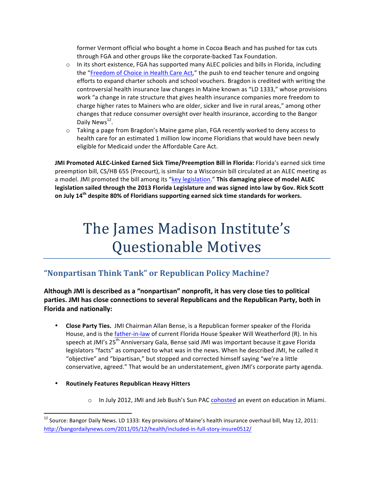former Vermont official who bought a home in Cocoa Beach and has pushed for tax cuts through FGA and other groups like the corporate-backed Tax Foundation.

- $\circ$  In its short existence, FGA has supported many ALEC policies and bills in Florida, including the "Freedom of Choice in Health Care Act," the push to end teacher tenure and ongoing efforts to expand charter schools and school vouchers. Bragdon is credited with writing the controversial health insurance law changes in Maine known as "LD 1333," whose provisions work "a change in rate structure that gives health insurance companies more freedom to charge higher rates to Mainers who are older, sicker and live in rural areas," among other changes that reduce consumer oversight over health insurance, according to the Bangor Daily News<sup>12</sup>.
- $\circ$  Taking a page from Bragdon's Maine game plan, FGA recently worked to deny access to health care for an estimated 1 million low income Floridians that would have been newly eligible for Medicaid under the Affordable Care Act.

**JMI Promoted ALEC-Linked Earned Sick Time/Preemption Bill in Florida: Florida's earned sick time** preemption bill, CS/HB 655 (Precourt), is similar to a Wisconsin bill circulated at an ALEC meeting as a model. JMI promoted the bill among its "key legislation." This damaging piece of model ALEC legislation sailed through the 2013 Florida Legislature and was signed into law by Gov. Rick Scott **on July 14<sup>th</sup> despite 80% of Floridians supporting earned sick time standards for workers.** 

# The James Madison Institute's Questionable Motives

### **"Nonpartisan Think Tank" or Republican Policy Machine?**

Although JMI is described as a "nonpartisan" nonprofit, it has very close ties to political parties. JMI has close connections to several Republicans and the Republican Party, both in **Florida and nationally:** 

- **Close Party Ties.** JMI Chairman Allan Bense, is a Republican former speaker of the Florida House, and is the father-in-law of current Florida House Speaker Will Weatherford (R). In his speech at JMI's 25<sup>th</sup> Anniversary Gala, Bense said JMI was important because it gave Florida legislators "facts" as compared to what was in the news. When he described JMI, he called it "objective" and "bipartisan," but stopped and corrected himself saying "we're a little conservative, agreed." That would be an understatement, given JMI's corporate party agenda.
- **Routinely Features Republican Heavy Hitters**

<u> 1989 - Johann Stein, markin film yn y breninn y breninn y breninn y breninn y breninn y breninn y breninn y b</u>

 $\circ$  In July 2012, JMI and Jeb Bush's Sun PAC cohosted an event on education in Miami.

 $12$  Source: Bangor Daily News. LD 1333: Key provisions of Maine's health insurance overhaul bill, May 12, 2011: http://bangordailynews.com/2011/05/12/health/included-in-full-story-insure0512/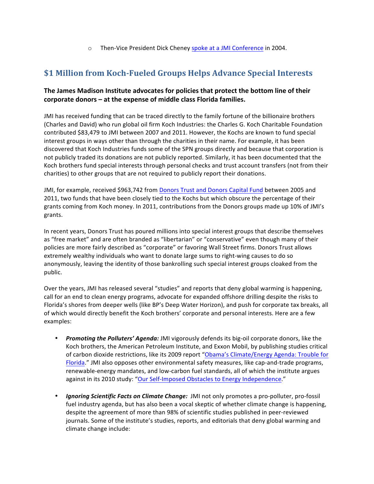$\circ$  Then-Vice President Dick Cheney spoke at a JMI Conference in 2004.

### **\$1 Million from Koch-Fueled Groups Helps Advance Special Interests**

#### The James Madison Institute advocates for policies that protect the bottom line of their **corporate donors – at the expense of middle class Florida families.**

JMI has received funding that can be traced directly to the family fortune of the billionaire brothers (Charles and David) who run global oil firm Koch Industries: the Charles G. Koch Charitable Foundation contributed \$83,479 to JMI between 2007 and 2011. However, the Kochs are known to fund special interest groups in ways other than through the charities in their name. For example, it has been discovered that Koch Industries funds some of the SPN groups directly and because that corporation is not publicly traded its donations are not publicly reported. Similarly, it has been documented that the Koch brothers fund special interests through personal checks and trust account transfers (not from their charities) to other groups that are not required to publicly report their donations.

JMI, for example, received \$963,742 from Donors Trust and Donors Capital Fund between 2005 and 2011, two funds that have been closely tied to the Kochs but which obscure the percentage of their grants coming from Koch money. In 2011, contributions from the Donors groups made up 10% of JMI's grants. 

In recent years, Donors Trust has poured millions into special interest groups that describe themselves as "free market" and are often branded as "libertarian" or "conservative" even though many of their policies are more fairly described as "corporate" or favoring Wall Street firms. Donors Trust allows extremely wealthy individuals who want to donate large sums to right-wing causes to do so anonymously, leaving the identity of those bankrolling such special interest groups cloaked from the public.

Over the years, JMI has released several "studies" and reports that deny global warming is happening, call for an end to clean energy programs, advocate for expanded offshore drilling despite the risks to Florida's shores from deeper wells (like BP's Deep Water Horizon), and push for corporate tax breaks, all of which would directly benefit the Koch brothers' corporate and personal interests. Here are a few examples: 

- *Promoting the Polluters' Agenda:* JMI vigorously defends its big-oil corporate donors, like the Koch brothers, the American Petroleum Institute, and Exxon Mobil, by publishing studies critical of carbon dioxide restrictions, like its 2009 report "Obama's Climate/Energy Agenda: Trouble for Florida." JMI also opposes other environmental safety measures, like cap-and-trade programs, renewable-energy mandates, and low-carbon fuel standards, all of which the institute argues against in its 2010 study: "Our Self-Imposed Obstacles to Energy Independence."
- *Ignoring Scientific Facts on Climate Change:* JMI not only promotes a pro-polluter, pro-fossil fuel industry agenda, but has also been a vocal skeptic of whether climate change is happening, despite the agreement of more than 98% of scientific studies published in peer-reviewed journals. Some of the institute's studies, reports, and editorials that deny global warming and climate change include: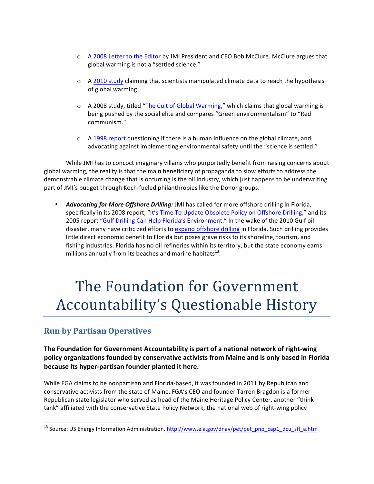- o A 2008 Letter to the Editor by JMI President and CEO Bob McClure. McClure argues that global warming is not a "settled science."
- $\circ$  A 2010 study claiming that scientists manipulated climate data to reach the hypothesis of global warming.
- $\circ$  A 2008 study, titled "The Cult of Global Warming," which claims that global warming is being pushed by the social elite and compares "Green environmentalism" to "Red communism."
- $\circ$  A 1998 report questioning if there is a human influence on the global climate, and advocating against implementing environmental safety until the "science is settled."

While JMI has to concoct imaginary villains who purportedly benefit from raising concerns about global warming, the reality is that the main beneficiary of propaganda to slow efforts to address the demonstrable climate change that is occurring is the oil industry, which just happens to be underwriting part of JMI's budget through Koch-fueled philanthropies like the Donor groups.

Advocating for More Offshore Drilling: JMI has called for more offshore drilling in Florida, specifically in its 2008 report, "It's Time To Update Obsolete Policy on Offshore Drilling," and its 2005 report "Gulf Drilling Can Help Florida's Environment." In the wake of the 2010 Gulf oil disaster, many have criticized efforts to expand offshore drilling in Florida. Such drilling provides little direct economic benefit to Florida but poses grave risks to its shoreline, tourism, and fishing industries. Florida has no oil refineries within its territory, but the state economy earns millions annually from its beaches and marine habitats $^{13}$ .

# The Foundation for Government Accountability's Questionable History

### **Run by Partisan Operatives**

<u> 1989 - Johann Stein, markin film yn y breninn y breninn y breninn y breninn y breninn y breninn y breninn y b</u>

**The Foundation for Government Accountability is part of a national network of right-wing policy organizations founded by conservative activists from Maine and is only based in Florida** because its hyper-partisan founder planted it here.

While FGA claims to be nonpartisan and Florida-based, it was founded in 2011 by Republican and conservative activists from the state of Maine. FGA's CEO and founder Tarren Bragdon is a former Republican state legislator who served as head of the Maine Heritage Policy Center, another "think tank" affiliated with the conservative State Policy Network, the national web of right-wing policy

<sup>&</sup>lt;sup>13</sup> Source: US Energy Information Administration. http://www.eia.gov/dnav/pet/pet\_pnp\_cap1\_dcu\_sfl\_a.htm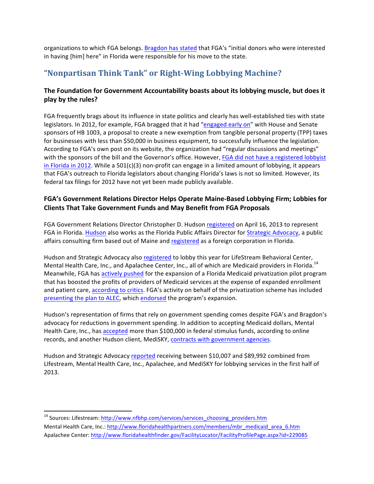organizations to which FGA belongs. Bragdon has stated that FGA's "initial donors who were interested in having [him] here" in Florida were responsible for his move to the state.

### **"Nonpartisan Think Tank" or Right-Wing Lobbying Machine?**

#### The Foundation for Government Accountability boasts about its lobbying muscle, but does it **play by the rules?**

FGA frequently brags about its influence in state politics and clearly has well-established ties with state legislators. In 2012, for example, FGA bragged that it had "engaged early on" with House and Senate sponsors of HB 1003, a proposal to create a new exemption from tangible personal property (TPP) taxes for businesses with less than \$50,000 in business equipment, to successfully influence the legislation. According to FGA's own post on its website, the organization had "regular discussions and meetings" with the sponsors of the bill and the Governor's office. However, FGA did not have a registered lobbyist in Florida in 2012. While a 501(c)(3) non-profit can engage in a limited amount of lobbying, it appears that FGA's outreach to Florida legislators about changing Florida's laws is not so limited. However, its federal tax filings for 2012 have not yet been made publicly available.

#### FGA's Government Relations Director Helps Operate Maine-Based Lobbying Firm; Lobbies for **Clients That Take Government Funds and May Benefit from FGA Proposals**

FGA Government Relations Director Christopher D. Hudson registered on April 16, 2013 to represent FGA in Florida. Hudson also works as the Florida Public Affairs Director for Strategic Advocacy, a public affairs consulting firm based out of Maine and registered as a foreign corporation in Florida.

Hudson and Strategic Advocacy also registered to lobby this year for LifeStream Behavioral Center, Mental Health Care, Inc., and Apalachee Center, Inc., all of which are Medicaid providers in Florida.<sup>14</sup> Meanwhile, FGA has actively pushed for the expansion of a Florida Medicaid privatization pilot program that has boosted the profits of providers of Medicaid services at the expense of expanded enrollment and patient care, according to critics. FGA's activity on behalf of the privatization scheme has included presenting the plan to ALEC, which endorsed the program's expansion.

Hudson's representation of firms that rely on government spending comes despite FGA's and Bragdon's advocacy for reductions in government spending. In addition to accepting Medicaid dollars, Mental Health Care, Inc., has accepted more than \$100,000 in federal stimulus funds, according to online records, and another Hudson client, MediSKY, contracts with government agencies.

Hudson and Strategic Advocacy reported receiving between \$10,007 and \$89,992 combined from LIfestream, Mental Health Care, Inc., Apalachee, and MediSKY for lobbying services in the first half of 2013.

<u> 1989 - Johann Stein, markin film yn y breninn y breninn y breninn y breninn y breninn y breninn y breninn y b</u>

<sup>&</sup>lt;sup>14</sup> Sources: Lifestream: http://www.nfbhp.com/services/services\_choosing\_providers.htm Mental Health Care, Inc.: http://www.floridahealthpartners.com/members/mbr\_medicaid\_area\_6.htm Apalachee Center: http://www.floridahealthfinder.gov/FacilityLocator/FacilityProfilePage.aspx?id=229085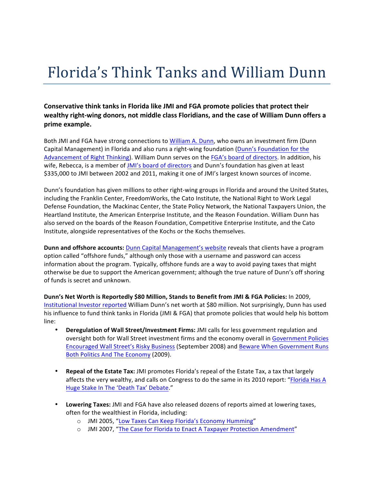### Florida's Think Tanks and William Dunn

Conservative think tanks in Florida like JMI and FGA promote policies that protect their wealthy right-wing donors, not middle class Floridians, and the case of William Dunn offers a **prime example.**

Both JMI and FGA have strong connections to William A. Dunn, who owns an investment firm (Dunn Capital Management) in Florida and also runs a right-wing foundation (Dunn's Foundation for the Advancement of Right Thinking). William Dunn serves on the FGA's board of directors. In addition, his wife, Rebecca, is a member of JMI's board of directors and Dunn's foundation has given at least \$335,000 to JMI between 2002 and 2011, making it one of JMI's largest known sources of income.

Dunn's foundation has given millions to other right-wing groups in Florida and around the United States, including the Franklin Center, FreedomWorks, the Cato Institute, the National Right to Work Legal Defense Foundation, the Mackinac Center, the State Policy Network, the National Taxpayers Union, the Heartland Institute, the American Enterprise Institute, and the Reason Foundation. William Dunn has also served on the boards of the Reason Foundation, Competitive Enterprise Institute, and the Cato Institute, alongside representatives of the Kochs or the Kochs themselves.

**Dunn and offshore accounts:** Dunn Capital Management's website reveals that clients have a program option called "offshore funds," although only those with a username and password can access information about the program. Typically, offshore funds are a way to avoid paying taxes that might otherwise be due to support the American government; although the true nature of Dunn's off shoring of funds is secret and unknown.

**Dunn's Net Worth is Reportedly \$80 Million, Stands to Benefit from JMI & FGA Policies:** In 2009, Institutional Investor reported William Dunn's net worth at \$80 million. Not surprisingly, Dunn has used his influence to fund think tanks in Florida (JMI & FGA) that promote policies that would help his bottom line:

- Deregulation of Wall Street/Investment Firms: JMI calls for less government regulation and oversight both for Wall Street investment firms and the economy overall in Government Policies Encouraged Wall Street's Risky Business (September 2008) and Beware When Government Runs Both Politics And The Economy (2009).
- **Repeal of the Estate Tax:** JMI promotes Florida's repeal of the Estate Tax, a tax that largely affects the very wealthy, and calls on Congress to do the same in its 2010 report: "Florida Has A Huge Stake In The 'Death Tax' Debate."
- Lowering Taxes: JMI and FGA have also released dozens of reports aimed at lowering taxes, often for the wealthiest in Florida, including:
	- o JMI 2005, "Low Taxes Can Keep Florida's Economy Humming"
	- o JMI 2007, "The Case for Florida to Enact A Taxpayer Protection Amendment"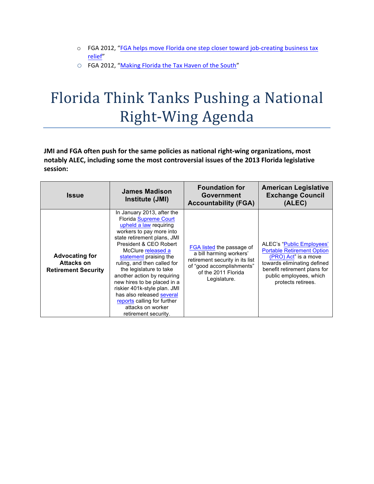- o FGA 2012, "FGA helps move Florida one step closer toward job-creating business tax relief"
- O FGA 2012, "Making Florida the Tax Haven of the South"

# Florida Think Tanks Pushing a National Right-Wing Agenda

JMI and FGA often push for the same policies as national right-wing organizations, most notably ALEC, including some the most controversial issues of the 2013 Florida legislative session:

| <b>Issue</b>                                                      | James Madison<br>Institute (JMI)                                                                                                                                                                                                                                                                                                                                                                                                                                                           | <b>Foundation for</b><br>Government<br><b>Accountability (FGA)</b>                                                                                          | <b>American Legislative</b><br><b>Exchange Council</b><br>(ALEC)                                                                                                                                       |
|-------------------------------------------------------------------|--------------------------------------------------------------------------------------------------------------------------------------------------------------------------------------------------------------------------------------------------------------------------------------------------------------------------------------------------------------------------------------------------------------------------------------------------------------------------------------------|-------------------------------------------------------------------------------------------------------------------------------------------------------------|--------------------------------------------------------------------------------------------------------------------------------------------------------------------------------------------------------|
| <b>Advocating for</b><br>Attacks on<br><b>Retirement Security</b> | In January 2013, after the<br><b>Florida Supreme Court</b><br>upheld a law requiring<br>workers to pay more into<br>state retirement plans, JMI<br>President & CEO Robert<br>McClure released a<br>statement praising the<br>ruling, and then called for<br>the legislature to take<br>another action by requiring<br>new hires to be placed in a<br>riskier 401k-style plan. JMI<br>has also released several<br>reports calling for further<br>attacks on worker<br>retirement security. | FGA listed the passage of<br>a bill harming workers'<br>retirement security in its list<br>of "good accomplishments"<br>of the 2011 Florida<br>Legislature. | ALEC's "Public Employees"<br><b>Portable Retirement Option</b><br>(PRO) Act" is a move<br>towards eliminating defined<br>benefit retirement plans for<br>public employees, which<br>protects retirees. |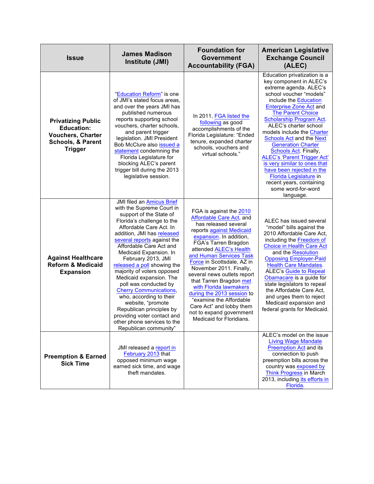| <b>Issue</b>                                                                                                                 | <b>James Madison</b><br>Institute (JMI)                                                                                                                                                                                                                                                                                                                                                                                                                                                                                                                                                                        | <b>Foundation for</b><br><b>Government</b><br><b>Accountability (FGA)</b>                                                                                                                                                                                                                                                                                                                                                                                                                                 | <b>American Legislative</b><br><b>Exchange Council</b><br>(ALEC)                                                                                                                                                                                                                                                                                                                                                                                                                                                                                                            |
|------------------------------------------------------------------------------------------------------------------------------|----------------------------------------------------------------------------------------------------------------------------------------------------------------------------------------------------------------------------------------------------------------------------------------------------------------------------------------------------------------------------------------------------------------------------------------------------------------------------------------------------------------------------------------------------------------------------------------------------------------|-----------------------------------------------------------------------------------------------------------------------------------------------------------------------------------------------------------------------------------------------------------------------------------------------------------------------------------------------------------------------------------------------------------------------------------------------------------------------------------------------------------|-----------------------------------------------------------------------------------------------------------------------------------------------------------------------------------------------------------------------------------------------------------------------------------------------------------------------------------------------------------------------------------------------------------------------------------------------------------------------------------------------------------------------------------------------------------------------------|
| <b>Privatizing Public</b><br><b>Education:</b><br><b>Vouchers, Charter</b><br><b>Schools, &amp; Parent</b><br><b>Trigger</b> | "Education Reform" is one<br>of JMI's stated focus areas,<br>and over the years JMI has<br>published numerous<br>reports supporting school<br>vouchers, charter schools,<br>and parent trigger<br>legislation. JMI President<br>Bob McClure also issued a<br>statement condemning the<br>Florida Legislature for<br>blocking ALEC's parent<br>trigger bill during the 2013<br>legislative session.                                                                                                                                                                                                             | In 2011, FGA listed the<br>following as good<br>accomplishments of the<br>Florida Legislature: "Ended<br>tenure, expanded charter<br>schools, vouchers and<br>virtual schools."                                                                                                                                                                                                                                                                                                                           | Education privatization is a<br>key component in ALEC's<br>extreme agenda. ALEC's<br>school voucher "models"<br>include the Education<br><b>Enterprise Zone Act and</b><br><b>The Parent Choice</b><br>Scholarship Program Act.<br>ALEC's charter school<br>models include the Charter<br><b>Schools Act and the Next</b><br><b>Generation Charter</b><br>Schools Act. Finally,<br><b>ALEC's 'Parent Trigger Act'</b><br>is very similar to ones that<br>have been rejected in the<br>Florida Legislature in<br>recent years, containing<br>some word-for-word<br>language. |
| <b>Against Healthcare</b><br><b>Reform &amp; Medicaid</b><br><b>Expansion</b>                                                | <b>JMI filed an Amicus Brief</b><br>with the Supreme Court in<br>support of the State of<br>Florida's challenge to the<br>Affordable Care Act. In<br>addition, JMI has released<br>several reports against the<br>Affordable Care Act and<br>Medicaid Expansion. In<br>February 2013, JMI<br>released a poll showing the<br>majority of voters opposed<br>Medicaid expansion. The<br>poll was conducted by<br><b>Cherry Communications,</b><br>who, according to their<br>website, "promote<br>Republican principles by<br>providing voter contact and<br>other phone services to the<br>Republican community" | FGA is against the 2010<br>Affordable Care Act, and<br>has released several<br>reports against Medicaid<br>expansion. In addition,<br>FGA's Tarren Bragdon<br>attended ALEC's Health<br>and Human Services Task<br>Force in Scottsdale, AZ in<br>November 2011. Finally,<br>several news outlets report<br>that Tarren Bragdon met<br>with Florida lawmakers<br>during the 2013 session to<br>"examine the Affordable<br>Care Act" and lobby them<br>not to expand government<br>Medicaid for Floridians. | ALEC has issued several<br>"model" bills against the<br>2010 Affordable Care Act,<br>including the <b>Freedom of</b><br><b>Choice in Health Care Act</b><br>and the Resolution<br><b>Opposing Employer-Paid</b><br><b>Health Care Mandates.</b><br><b>ALEC's Guide to Repeal</b><br>Obamacare is a guide for<br>state legislators to repeal<br>the Affordable Care Act.<br>and urges them to reject<br>Medicaid expansion and<br>federal grants for Medicaid.                                                                                                               |
| <b>Preemption &amp; Earned</b><br><b>Sick Time</b>                                                                           | JMI released a report in<br>February 2013 that<br>opposed minimum wage<br>earned sick time, and wage<br>theft mandates.                                                                                                                                                                                                                                                                                                                                                                                                                                                                                        |                                                                                                                                                                                                                                                                                                                                                                                                                                                                                                           | ALEC's model on the issue<br><b>Living Wage Mandate</b><br>Preemption Act and its<br>connection to push<br>preemption bills across the<br>country was exposed by<br><b>Think Progress in March</b><br>2013, including its efforts in<br>Florida.                                                                                                                                                                                                                                                                                                                            |